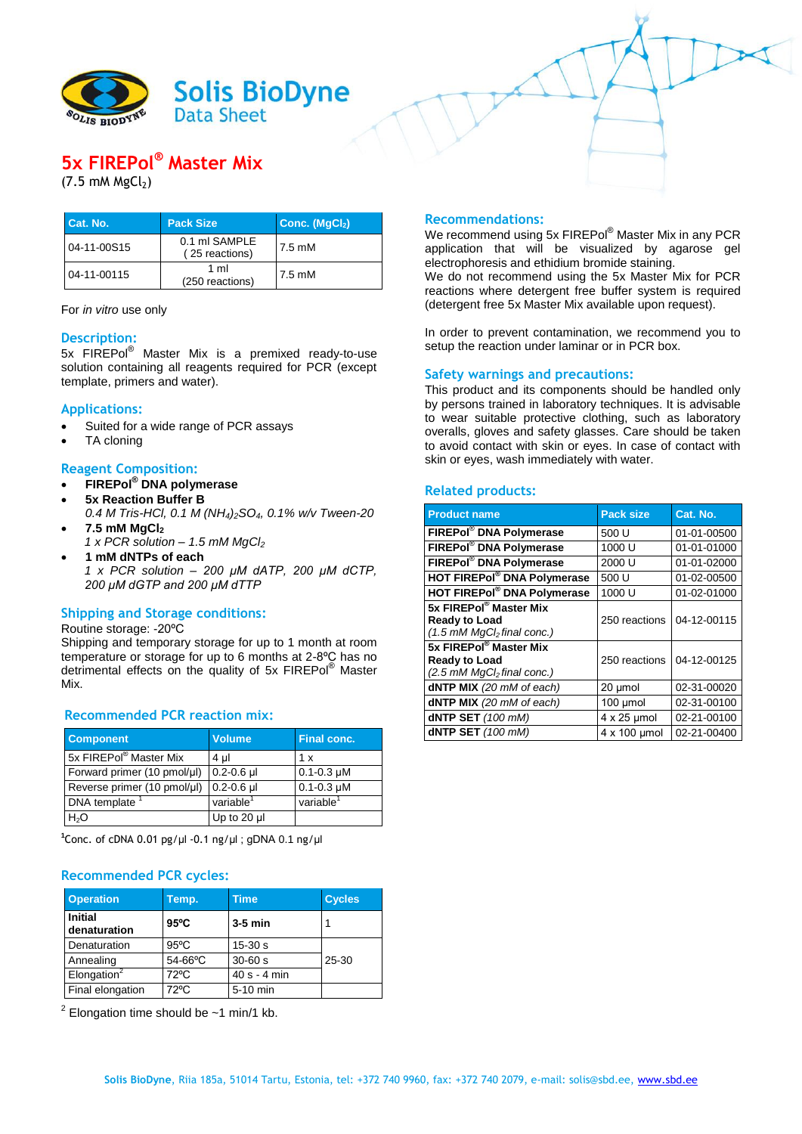

# **5x FIREPol® Master Mix**

 $(7.5 \, \text{m}$ M MgCl<sub>2</sub>)

| Cat. No.    | <b>Pack Size</b>                | Conc. (MgCl <sub>2</sub> ) |
|-------------|---------------------------------|----------------------------|
| 04-11-00S15 | 0.1 ml SAMPLE<br>(25 reactions) | 7.5 mM                     |
| 04-11-00115 | 1 ml<br>(250 reactions)         | 7.5 mM                     |

For *in vitro* use only

## **Description:**

5x FIREPol® Master Mix is a premixed ready-to-use solution containing all reagents required for PCR (except template, primers and water).

# **Applications:**

- Suited for a wide range of PCR assays
- TA cloning

# **Reagent Composition:**

- **FIREPol® DNA polymerase**
- **5x Reaction Buffer B**
- *0.4 M Tris-HCl, 0.1 M (NH4)2SO4, 0.1% w/v Tween-20* **7.5 mM MgCl<sup>2</sup>**
- *1 x PCR solution – 1.5 mM MgCl<sup>2</sup>*
- **1 mM dNTPs of each**

*1 x PCR solution – 200 µM dATP, 200 µM dCTP, 200 µM dGTP and 200 µM dTTP*

# **Shipping and Storage conditions:**

#### Routine storage: -20ºC

Shipping and temporary storage for up to 1 month at room temperature or storage for up to 6 months at 2-8ºC has no detrimental effects on the quality of 5x FIREPol® Master Mix.

# **Recommended PCR reaction mix:**

| <b>Component</b>                   | <b>Volume</b>         | Final conc.           |
|------------------------------------|-----------------------|-----------------------|
| 5x FIREPol <sup>®</sup> Master Mix | 4 µl                  | 1 x                   |
| Forward primer (10 pmol/µl)        | $0.2 - 0.6$ µ         | $0.1 - 0.3 \mu M$     |
| Reverse primer (10 pmol/µl)        | $0.2 - 0.6$ µ         | $0.1 - 0.3$ µM        |
| DNA template <sup>1</sup>          | variable <sup>1</sup> | variable <sup>1</sup> |
| H <sub>2</sub> O                   | Up to 20 $\mu$        |                       |

**1** Conc. of cDNA 0.01 pg/µl -0.1 ng/µl ; gDNA 0.1 ng/µl

## **Recommended PCR cycles:**

| <b>Operation</b>               | Temp.          | <b>Time</b>    | <b>Cycles</b> |
|--------------------------------|----------------|----------------|---------------|
| <b>Initial</b><br>denaturation | $95^{\circ}$ C | $3-5$ min      |               |
| Denaturation                   | $95^{\circ}$ C | $15 - 30s$     |               |
| Annealing                      | 54-66°C        | $30 - 60 s$    | $25 - 30$     |
| Elongation <sup>2</sup>        | $72^{\circ}$ C | $40 s - 4 min$ |               |
| Final elongation               | $72^{\circ}$ C | 5-10 min       |               |

 $2$  Elongation time should be  $\sim$  1 min/1 kb.

#### **Recommendations:**

We recommend using 5x FIREPol® Master Mix in any PCR application that will be visualized by agarose gel electrophoresis and ethidium bromide staining.

We do not recommend using the 5x Master Mix for PCR reactions where detergent free buffer system is required (detergent free 5x Master Mix available upon request).

In order to prevent contamination, we recommend you to setup the reaction under laminar or in PCR box.

## **Safety warnings and precautions:**

This product and its components should be handled only by persons trained in laboratory techniques. It is advisable to wear suitable protective clothing, such as laboratory overalls, gloves and safety glasses. Care should be taken to avoid contact with skin or eyes. In case of contact with skin or eyes, wash immediately with water.

## **Related products:**

| <b>Product name</b>                                                                                                 | <b>Pack size</b>   | Cat. No.    |
|---------------------------------------------------------------------------------------------------------------------|--------------------|-------------|
| FIREPol <sup>®</sup> DNA Polymerase                                                                                 | 500 U              | 01-01-00500 |
| FIREPol® DNA Polymerase                                                                                             | 1000 U             | 01-01-01000 |
| <b>FIREPol® DNA Polymerase</b>                                                                                      | 2000 U             | 01-01-02000 |
| <b>HOT FIREPol® DNA Polymerase</b>                                                                                  | 500 U              | 01-02-00500 |
| HOT FIREPol® DNA Polymerase                                                                                         | 1000 U             | 01-02-01000 |
| 5x FIREPol <sup>®</sup> Master Mix<br><b>Ready to Load</b><br>$(1.5 \text{ mM } \text{MgCl}_2 \text{ final conc.})$ | 250 reactions      | 04-12-00115 |
| 5x FIREPol® Master Mix<br><b>Ready to Load</b><br>$(2.5 \text{ mM } \text{MgCl}_2 \text{ final conc.})$             | 250 reactions      | 04-12-00125 |
| $dNTP$ MIX (20 mM of each)                                                                                          | 20 µmol            | 02-31-00020 |
| $dNTP$ MIX (20 mM of each)                                                                                          | 100 umol           | 02-31-00100 |
| dNTP SET $(100 \text{ mM})$                                                                                         | $4 \times 25$ µmol | 02-21-00100 |
| dNTP SET (100 mM)                                                                                                   | 4 x 100 µmol       | 02-21-00400 |